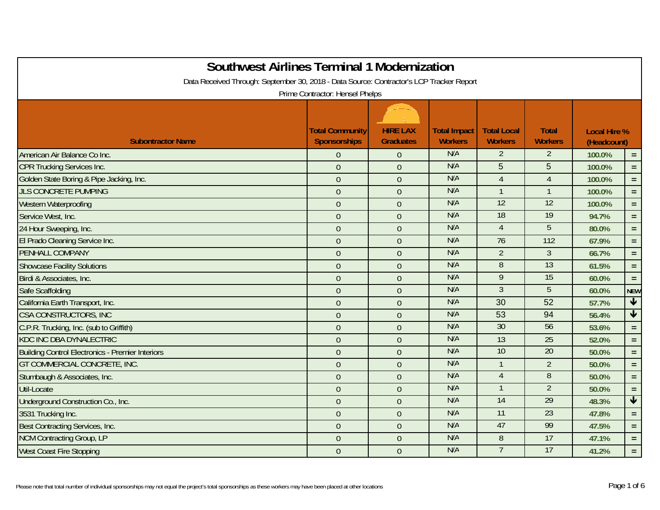| <b>Southwest Airlines Terminal 1 Modernization</b><br>Data Received Through: September 30, 2018 - Data Source: Contractor's LCP Tracker Report | Prime Contractor: Hensel Phelps               |                                     |                                       |                                      |                                |                                    |                 |
|------------------------------------------------------------------------------------------------------------------------------------------------|-----------------------------------------------|-------------------------------------|---------------------------------------|--------------------------------------|--------------------------------|------------------------------------|-----------------|
| <b>Subontractor Name</b>                                                                                                                       | <b>Total Community</b><br><b>Sponsorships</b> | <b>HIRE LAX</b><br><b>Graduates</b> | <b>Total Impact</b><br><b>Workers</b> | <b>Total Local</b><br><b>Workers</b> | <b>Total</b><br><b>Workers</b> | <b>Local Hire %</b><br>(Headcount) |                 |
| American Air Balance Co Inc.                                                                                                                   | $\mathbf 0$                                   | $\overline{0}$                      | N/A                                   | $\overline{2}$                       | $\overline{2}$                 | 100.0%                             | $=$ .           |
| <b>CPR Trucking Services Inc.</b>                                                                                                              | $\mathbf{0}$                                  | $\overline{0}$                      | N/A                                   | 5                                    | 5                              | 100.0%                             | $=$             |
| Golden State Boring & Pipe Jacking, Inc.                                                                                                       | $\overline{0}$                                | $\overline{0}$                      | N/A                                   | $\overline{4}$                       | $\overline{4}$                 | 100.0%                             | $\equiv$        |
| <b>JLS CONCRETE PUMPING</b>                                                                                                                    | $\mathbf{0}$                                  | $\overline{0}$                      | N/A                                   | $\mathbf{1}$                         | $\overline{1}$                 | 100.0%                             | $=$ $\,$        |
| Western Waterproofing                                                                                                                          | $\mathbf{0}$                                  | $\overline{0}$                      | N/A                                   | 12                                   | 12                             | 100.0%                             | $=$ $\,$        |
| Service West, Inc.                                                                                                                             | $\overline{0}$                                | $\overline{0}$                      | N/A                                   | 18                                   | 19                             | 94.7%                              | $\equiv$        |
| 24 Hour Sweeping, Inc.                                                                                                                         | $\boldsymbol{0}$                              | $\theta$                            | N/A                                   | $\overline{4}$                       | 5                              | 80.0%                              | $=$ $\,$        |
| El Prado Cleaning Service Inc.                                                                                                                 | $\boldsymbol{0}$                              | $\theta$                            | N/A                                   | 76                                   | 112                            | 67.9%                              | $=$             |
| PENHALL COMPANY                                                                                                                                | $\overline{0}$                                | $\overline{0}$                      | N/A                                   | $\overline{2}$                       | $\overline{3}$                 | 66.7%                              | $\equiv$        |
| <b>Showcase Facility Solutions</b>                                                                                                             | $\overline{0}$                                | $\theta$                            | N/A                                   | $\overline{8}$                       | 13                             | 61.5%                              | $=$ $\,$        |
| Birdi & Associates, Inc.                                                                                                                       | $\overline{0}$                                | $\theta$                            | N/A                                   | 9                                    | 15                             | 60.0%                              | $=$ $^{\circ}$  |
| Safe Scaffolding                                                                                                                               | $\overline{0}$                                | $\overline{0}$                      | N/A                                   | $\overline{3}$                       | 5                              | 60.0%                              | <b>NEW</b>      |
| California Earth Transport, Inc.                                                                                                               | $\boldsymbol{0}$                              | $\overline{0}$                      | N/A                                   | 30                                   | 52                             | 57.7%                              | $\blacklozenge$ |
| <b>CSA CONSTRUCTORS, INC</b>                                                                                                                   | $\overline{0}$                                | $\overline{0}$                      | N/A                                   | 53                                   | 94                             | 56.4%                              | $\blacklozenge$ |
| C.P.R. Trucking, Inc. (sub to Griffith)                                                                                                        | $\overline{0}$                                | $\theta$                            | N/A                                   | 30                                   | 56                             | 53.6%                              | $\equiv$        |
| <b>KDC INC DBA DYNALECTRIC</b>                                                                                                                 | $\mathbf{0}$                                  | $\overline{0}$                      | N/A                                   | 13                                   | 25                             | 52.0%                              | $=$ $\,$        |
| <b>Building Control Electronics - Premier Interiors</b>                                                                                        | $\overline{0}$                                | $\overline{0}$                      | N/A                                   | 10                                   | 20                             | 50.0%                              | $=$ .           |
| GT COMMERCIAL CONCRETE, INC.                                                                                                                   | $\overline{0}$                                | $\overline{0}$                      | N/A                                   | $\mathbf{1}$                         | $\overline{2}$                 | 50.0%                              | $\equiv$ .      |
| Stumbaugh & Associates, Inc.                                                                                                                   | $\overline{0}$                                | $\overline{0}$                      | N/A                                   | $\overline{4}$                       | 8                              | 50.0%                              | $\equiv$        |
| Util-Locate                                                                                                                                    | $\overline{0}$                                | $\theta$                            | N/A                                   |                                      | $\overline{2}$                 | 50.0%                              | $\equiv$        |
| Underground Construction Co., Inc.                                                                                                             | $\mathbf 0$                                   | $\overline{0}$                      | N/A                                   | 14                                   | 29                             | 48.3%                              | $\blacklozenge$ |
| 3531 Trucking Inc.                                                                                                                             | $\boldsymbol{0}$                              | $\theta$                            | N/A                                   | $\overline{11}$                      | 23                             | 47.8%                              | $\equiv$        |
| Best Contracting Services, Inc.                                                                                                                | $\overline{0}$                                | $\overline{0}$                      | N/A                                   | 47                                   | 99                             | 47.5%                              | $=$ .           |
| <b>NCM Contracting Group, LP</b>                                                                                                               | $\boldsymbol{0}$                              | $\overline{0}$                      | N/A                                   | $\boldsymbol{8}$                     | 17                             | 47.1%                              | $=$ .           |
| <b>West Coast Fire Stopping</b>                                                                                                                | $\mathbf{0}$                                  | $\overline{0}$                      | N/A                                   | $7\phantom{.}$                       | 17                             | 41.2%                              | $=$ $\,$        |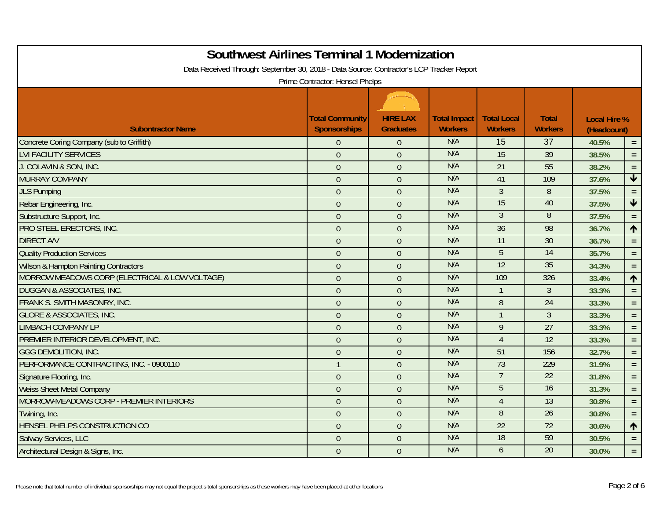| <b>Southwest Airlines Terminal 1 Modernization</b>                                       |                                        |                                     |                                       |                                      |                                |                                    |                      |
|------------------------------------------------------------------------------------------|----------------------------------------|-------------------------------------|---------------------------------------|--------------------------------------|--------------------------------|------------------------------------|----------------------|
| Data Received Through: September 30, 2018 - Data Source: Contractor's LCP Tracker Report |                                        |                                     |                                       |                                      |                                |                                    |                      |
|                                                                                          | Prime Contractor: Hensel Phelps        |                                     |                                       |                                      |                                |                                    |                      |
| <b>Subontractor Name</b>                                                                 | <b>Total Community</b><br>Sponsorships | <b>HIRE LAX</b><br><b>Graduates</b> | <b>Total Impact</b><br><b>Workers</b> | <b>Total Local</b><br><b>Workers</b> | <b>Total</b><br><b>Workers</b> | <b>Local Hire %</b><br>(Headcount) |                      |
| Concrete Coring Company (sub to Griffith)                                                | $\Omega$                               | $\Omega$                            | N/A                                   | 15                                   | 37                             | 40.5%                              | $=$ .                |
| <b>LVI FACILITY SERVICES</b>                                                             | $\overline{0}$                         | $\overline{0}$                      | N/A                                   | $\overline{15}$                      | 39                             | 38.5%                              | $=$ .                |
| J. COLAVIN & SON, INC.                                                                   | $\overline{0}$                         | $\overline{0}$                      | N/A                                   | 21                                   | 55                             | 38.2%                              | $\equiv$             |
| <b>MURRAY COMPANY</b>                                                                    | $\boldsymbol{0}$                       | $\theta$                            | N/A                                   | 41                                   | 109                            | 37.6%                              | $\blacktriangledown$ |
| <b>JLS Pumping</b>                                                                       | $\theta$                               | $\overline{0}$                      | N/A                                   | $\mathfrak{Z}$                       | 8                              | 37.5%                              | $=$                  |
| Rebar Engineering, Inc.                                                                  | $\theta$                               | $\overline{0}$                      | N/A                                   | 15                                   | 40                             | 37.5%                              | $\blacklozenge$      |
| Substructure Support, Inc.                                                               | $\overline{0}$                         | $\overline{0}$                      | N/A                                   | $\overline{3}$                       | $\overline{8}$                 | 37.5%                              | $\equiv$             |
| PRO STEEL ERECTORS, INC.                                                                 | $\boldsymbol{0}$                       | $\overline{0}$                      | N/A                                   | $\overline{36}$                      | 98                             | 36.7%                              | $\blacklozenge$      |
| <b>DIRECT A/V</b>                                                                        | $\overline{0}$                         | $\overline{0}$                      | N/A                                   | 11                                   | 30                             | 36.7%                              | $=$ $\,$             |
| <b>Quality Production Services</b>                                                       | $\overline{0}$                         | $\overline{0}$                      | N/A                                   | $\overline{5}$                       | 14                             | 35.7%                              | $\equiv$             |
| <b>Wilson &amp; Hampton Painting Contractors</b>                                         | $\overline{0}$                         | $\Omega$                            | N/A                                   | 12                                   | 35                             | 34.3%                              | $=$                  |
| MORROW MEADOWS CORP (ELECTRICAL & LOW VOLTAGE)                                           | $\theta$                               | $\overline{0}$                      | N/A                                   | 109                                  | 326                            | 33.4%                              | $\blacklozenge$      |
| <b>DUGGAN &amp; ASSOCIATES, INC.</b>                                                     | $\theta$                               | $\theta$                            | N/A                                   | $\mathbf{1}$                         | 3                              | 33.3%                              | $=$ $\,$             |
| FRANK S. SMITH MASONRY, INC.                                                             | $\theta$                               | $\overline{0}$                      | N/A                                   | 8                                    | $\overline{24}$                | 33.3%                              | $\equiv$             |
| <b>GLORE &amp; ASSOCIATES, INC.</b>                                                      | $\overline{0}$                         | $\Omega$                            | N/A                                   |                                      | $\overline{3}$                 | 33.3%                              | $=$ .                |
| <b>LIMBACH COMPANY LP</b>                                                                | $\theta$                               | $\overline{0}$                      | N/A                                   | 9                                    | $\overline{27}$                | 33.3%                              | $=$ $\,$             |
| PREMIER INTERIOR DEVELOPMENT, INC.                                                       | $\theta$                               | $\overline{0}$                      | N/A                                   | $\overline{4}$                       | 12                             | 33.3%                              | $\equiv$             |
| <b>GGG DEMOLITION, INC.</b>                                                              | $\overline{0}$                         | $\overline{0}$                      | N/A                                   | 51                                   | 156                            | 32.7%                              | $=$                  |
| PERFORMANCE CONTRACTING, INC. - 0900110                                                  | $\mathbf{1}$                           | $\overline{0}$                      | N/A                                   | 73                                   | 229                            | 31.9%                              | $=$ .                |
| Signature Flooring, Inc.                                                                 | $\boldsymbol{0}$                       | $\mathbf{0}$                        | N/A                                   |                                      | 22                             | 31.8%                              | $=$ $\,$             |
| <b>Weiss Sheet Metal Company</b>                                                         | $\boldsymbol{0}$                       | $\theta$                            | N/A                                   | 5                                    | 16                             | 31.3%                              | $=$ .                |
| MORROW-MEADOWS CORP - PREMIER INTERIORS                                                  | $\theta$                               | $\overline{0}$                      | N/A                                   | $\overline{4}$                       | 13                             | 30.8%                              | $=$ .                |
| Twining, Inc.                                                                            | $\theta$                               | $\overline{0}$                      | N/A                                   | 8                                    | 26                             | 30.8%                              | $\equiv$             |
| HENSEL PHELPS CONSTRUCTION CO                                                            | $\overline{0}$                         | $\theta$                            | N/A                                   | $\overline{22}$                      | $\overline{72}$                | 30.6%                              | ↑                    |
| Safway Services, LLC                                                                     | $\theta$                               | $\overline{0}$                      | N/A                                   | 18                                   | 59                             | 30.5%                              | $=$ $\,$             |
| Architectural Design & Signs, Inc.                                                       | $\theta$                               | $\overline{0}$                      | N/A                                   | $\mathfrak b$                        | 20                             | 30.0%                              | $\equiv$             |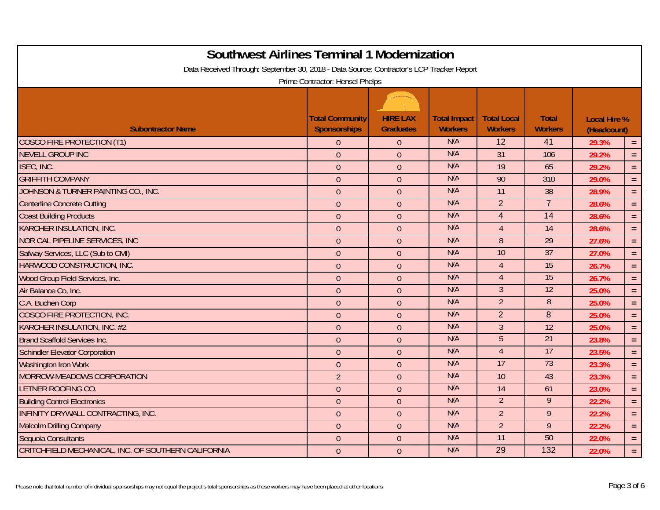| <b>Southwest Airlines Terminal 1 Modernization</b>                                       |                                               |                                     |                                       |                                      |                                |                                    |          |  |  |
|------------------------------------------------------------------------------------------|-----------------------------------------------|-------------------------------------|---------------------------------------|--------------------------------------|--------------------------------|------------------------------------|----------|--|--|
| Data Received Through: September 30, 2018 - Data Source: Contractor's LCP Tracker Report |                                               |                                     |                                       |                                      |                                |                                    |          |  |  |
| Prime Contractor: Hensel Phelps                                                          |                                               |                                     |                                       |                                      |                                |                                    |          |  |  |
|                                                                                          |                                               |                                     |                                       |                                      |                                |                                    |          |  |  |
| <b>Subontractor Name</b>                                                                 | <b>Total Community</b><br><b>Sponsorships</b> | <b>HIRE LAX</b><br><b>Graduates</b> | <b>Total Impact</b><br><b>Workers</b> | <b>Total Local</b><br><b>Workers</b> | <b>Total</b><br><b>Workers</b> | <b>Local Hire %</b><br>(Headcount) |          |  |  |
| <b>COSCO FIRE PROTECTION (T1)</b>                                                        | $\overline{0}$                                | $\theta$                            | N/A                                   | 12                                   | 41                             | 29.3%                              | $\equiv$ |  |  |
| <b>NEVELL GROUP INC</b>                                                                  | $\overline{0}$                                | $\overline{0}$                      | N/A                                   | 31                                   | 106                            | 29.2%                              | $=$ $\,$ |  |  |
| ISEC, INC.                                                                               | $\boldsymbol{0}$                              | $\overline{0}$                      | N/A                                   | 19                                   | 65                             | 29.2%                              | $\equiv$ |  |  |
| <b>GRIFFITH COMPANY</b>                                                                  | $\mathbf{0}$                                  | $\overline{0}$                      | N/A                                   | 90                                   | 310                            | 29.0%                              | $=$ .    |  |  |
| JOHNSON & TURNER PAINTING CO., INC.                                                      | $\mathbf{0}$                                  | $\overline{0}$                      | N/A                                   | 11                                   | 38                             | 28.9%                              | $\equiv$ |  |  |
| <b>Centerline Concrete Cutting</b>                                                       | $\mathbf{0}$                                  | $\overline{0}$                      | N/A                                   | $\overline{2}$                       | $\overline{7}$                 | 28.6%                              | $\equiv$ |  |  |
| <b>Coast Building Products</b>                                                           | $\mathbf{0}$                                  | $\overline{0}$                      | N/A                                   | $\overline{4}$                       | 14                             | 28.6%                              | $=$ .    |  |  |
| <b>KARCHER INSULATION, INC.</b>                                                          | $\boldsymbol{0}$                              | $\overline{0}$                      | N/A                                   | $\overline{4}$                       | 14                             | 28.6%                              | $\equiv$ |  |  |
| NOR CAL PIPELINE SERVICES, INC.                                                          | $\mathbf{0}$                                  | $\overline{0}$                      | N/A                                   | 8                                    | 29                             | 27.6%                              | $=$ .    |  |  |
| Safway Services, LLC (Sub to CMI)                                                        | $\overline{0}$                                | $\overline{0}$                      | N/A                                   | 10                                   | 37                             | 27.0%                              | $\equiv$ |  |  |
| HARWOOD CONSTRUCTION, INC.                                                               | $\mathbf{0}$                                  | $\mathbf{0}$                        | N/A                                   | $\overline{4}$                       | 15                             | 26.7%                              | $\equiv$ |  |  |
| Wood Group Field Services, Inc.                                                          | $\boldsymbol{0}$                              | $\mathbf{0}$                        | N/A                                   | $\overline{4}$                       | 15                             | 26.7%                              | $=$ .    |  |  |
| Air Balance Co, Inc.                                                                     | $\overline{0}$                                | $\theta$                            | N/A                                   | $\mathfrak{Z}$                       | 12                             | 25.0%                              | $\equiv$ |  |  |
| C.A. Buchen Corp                                                                         | $\overline{0}$                                | $\theta$                            | N/A                                   | $\overline{2}$                       | $\overline{8}$                 | 25.0%                              | $\equiv$ |  |  |
| COSCO FIRE PROTECTION, INC.                                                              | $\overline{0}$                                | $\overline{0}$                      | N/A                                   | $\overline{2}$                       | 8                              | 25.0%                              | $=$      |  |  |
| <b>KARCHER INSULATION, INC. #2</b>                                                       | $\mathbf{0}$                                  | $\overline{0}$                      | N/A                                   | $\mathfrak{Z}$                       | $\overline{12}$                | 25.0%                              | $\equiv$ |  |  |
| <b>Brand Scaffold Services Inc.</b>                                                      | $\theta$                                      | $\overline{0}$                      | N/A                                   | 5                                    | 21                             | 23.8%                              | $\equiv$ |  |  |
| <b>Schindler Elevator Corporation</b>                                                    | $\theta$                                      | $\overline{0}$                      | N/A                                   | $\overline{4}$                       | 17                             | 23.5%                              | $\equiv$ |  |  |
| Washington Iron Work                                                                     | $\mathbf{0}$                                  | $\overline{0}$                      | N/A                                   | 17                                   | 73                             | 23.3%                              | $\equiv$ |  |  |
| MORROW-MEADOWS CORPORATION                                                               | $\overline{2}$                                | $\overline{0}$                      | N/A                                   | 10                                   | 43                             | 23.3%                              | $=$ $\,$ |  |  |
| LETNER ROOFING CO.                                                                       | $\mathbf{0}$                                  | $\overline{0}$                      | N/A                                   | 14                                   | 61                             | 23.0%                              | $=$ .    |  |  |
| <b>Building Control Electronics</b>                                                      | $\mathbf{0}$                                  | $\overline{0}$                      | N/A                                   | $\overline{2}$                       | $\overline{9}$                 | 22.2%                              | $=$ .    |  |  |
| <b>INFINITY DRYWALL CONTRACTING, INC.</b>                                                | $\mathbf{0}$                                  | $\overline{0}$                      | N/A                                   | $\overline{2}$                       | 9                              | 22.2%                              | $=$      |  |  |
| <b>Malcolm Drilling Company</b>                                                          | $\mathbf{0}$                                  | $\overline{0}$                      | N/A                                   | $\overline{2}$                       | 9                              | 22.2%                              | $=$      |  |  |
| Sequoia Consultants                                                                      | $\theta$                                      | $\overline{0}$                      | N/A                                   | $\overline{11}$                      | 50                             | 22.0%                              | $=$ .    |  |  |
| CRITCHFIELD MECHANICAL, INC. OF SOUTHERN CALIFORNIA                                      | $\mathbf{0}$                                  | $\theta$                            | N/A                                   | 29                                   | 132                            | 22.0%                              | $\equiv$ |  |  |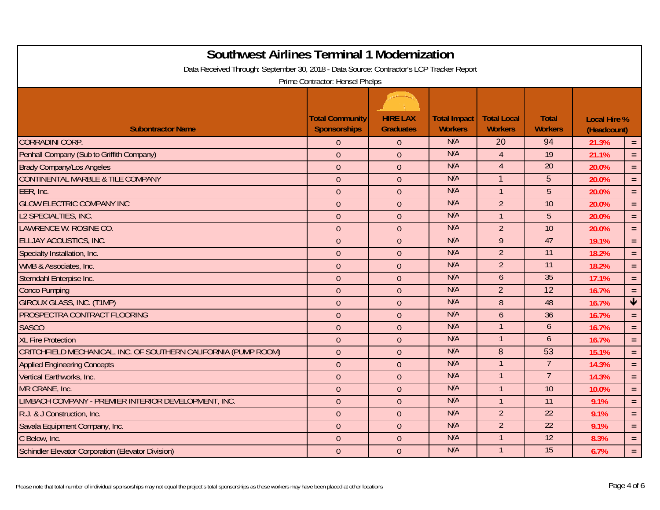| <b>Southwest Airlines Terminal 1 Modernization</b>                                       |                        |                  |                     |                    |                  |                     |                         |  |  |
|------------------------------------------------------------------------------------------|------------------------|------------------|---------------------|--------------------|------------------|---------------------|-------------------------|--|--|
| Data Received Through: September 30, 2018 - Data Source: Contractor's LCP Tracker Report |                        |                  |                     |                    |                  |                     |                         |  |  |
| Prime Contractor: Hensel Phelps                                                          |                        |                  |                     |                    |                  |                     |                         |  |  |
|                                                                                          | <b>Total Community</b> | <b>HIRE LAX</b>  | <b>Total Impact</b> | <b>Total Local</b> | <b>Total</b>     | <b>Local Hire %</b> |                         |  |  |
| <b>Subontractor Name</b>                                                                 | <b>Sponsorships</b>    | <b>Graduates</b> | <b>Workers</b>      | <b>Workers</b>     | <b>Workers</b>   | (Headcount)         |                         |  |  |
| <b>CORRADINI CORP.</b>                                                                   | $\overline{0}$         | $\Omega$         | N/A                 | 20                 | 94               | 21.3%               | $\equiv$                |  |  |
| Penhall Company (Sub to Griffith Company)                                                | $\mathbf{0}$           | $\overline{0}$   | N/A                 | $\overline{A}$     | $\overline{19}$  | 21.1%               | $=$                     |  |  |
| <b>Brady Company/Los Angeles</b>                                                         | $\boldsymbol{0}$       | $\overline{0}$   | N/A                 | $\overline{4}$     | 20               | 20.0%               | $=$                     |  |  |
| <b>CONTINENTAL MARBLE &amp; TILE COMPANY</b>                                             | $\boldsymbol{0}$       | $\overline{0}$   | N/A                 | 1                  | 5                | 20.0%               | $=$ .                   |  |  |
| EER, Inc.                                                                                | $\theta$               | $\overline{0}$   | N/A                 | $\mathbf{1}$       | 5                | 20.0%               | $\equiv$                |  |  |
| <b>GLOW ELECTRIC COMPANY INC</b>                                                         | $\mathbf{0}$           | $\overline{0}$   | N/A                 | $\overline{2}$     | $\overline{10}$  | 20.0%               | $\equiv$                |  |  |
| L2 SPECIALTIES, INC.                                                                     | $\overline{0}$         | $\overline{0}$   | N/A                 | $\overline{1}$     | 5                | 20.0%               | $=$ $\,$                |  |  |
| LAWRENCE W. ROSINE CO.                                                                   | $\mathbf{0}$           | $\overline{0}$   | N/A                 | $\overline{2}$     | 10               | 20.0%               | $\equiv$                |  |  |
| <b>ELLJAY ACOUSTICS, INC.</b>                                                            | $\overline{0}$         | $\overline{0}$   | N/A                 | 9                  | 47               | 19.1%               | $=$ .                   |  |  |
| Specialty Installation, Inc.                                                             | $\mathbf{0}$           | $\overline{0}$   | N/A                 | 2 <sup>2</sup>     | $\overline{11}$  | 18.2%               | $\equiv$                |  |  |
| WMB & Associates, Inc.                                                                   | $\theta$               | $\overline{0}$   | N/A                 | $\overline{2}$     | $\overline{11}$  | 18.2%               | $\equiv$                |  |  |
| Sterndahl Enterpise Inc.                                                                 | $\boldsymbol{0}$       | $\theta$         | N/A                 | $\mathfrak b$      | 35               | 17.1%               | $\equiv$                |  |  |
| <b>Conco Pumping</b>                                                                     | $\boldsymbol{0}$       | $\overline{0}$   | N/A                 | $\overline{2}$     | 12               | 16.7%               | $\equiv$                |  |  |
| <b>GIROUX GLASS, INC. (T1MP)</b>                                                         | $\mathbf{0}$           | $\overline{0}$   | N/A                 | 8                  | 48               | 16.7%               | $\overline{\mathbf{t}}$ |  |  |
| PROSPECTRA CONTRACT FLOORING                                                             | $\mathbf{0}$           | $\theta$         | N/A                 | 6                  | 36               | 16.7%               | $\equiv$                |  |  |
| <b>SASCO</b>                                                                             | $\mathbf{0}$           | $\overline{0}$   | N/A                 |                    | $\boldsymbol{6}$ | 16.7%               | $\equiv$                |  |  |
| <b>XL Fire Protection</b>                                                                | $\mathbf{0}$           | $\overline{0}$   | N/A                 |                    | 6                | 16.7%               | $\equiv$                |  |  |
| CRITCHFIELD MECHANICAL, INC. OF SOUTHERN CALIFORNIA (PUMP ROOM)                          | $\mathbf{0}$           | $\overline{0}$   | N/A                 | 8                  | 53               | 15.1%               | $=$ .                   |  |  |
| <b>Applied Engineering Concepts</b>                                                      | $\mathbf{0}$           | $\overline{0}$   | N/A                 |                    | $\overline{7}$   | 14.3%               | $\equiv$                |  |  |
| Vertical Earthworks, Inc.                                                                | $\boldsymbol{0}$       | $\theta$         | N/A                 |                    | $\overline{7}$   | 14.3%               | $=$                     |  |  |
| MR CRANE, Inc.                                                                           | $\boldsymbol{0}$       | $\theta$         | N/A                 | $\mathbf{1}$       | 10               | 10.0%               | $\equiv$                |  |  |
| LIMBACH COMPANY - PREMIER INTERIOR DEVELOPMENT, INC.                                     | $\mathbf{0}$           | $\overline{0}$   | N/A                 | $\mathbf{1}$       | 11               | 9.1%                | $\equiv$                |  |  |
| R.J. & J Construction, Inc.                                                              | $\mathbf{0}$           | $\overline{0}$   | N/A                 | $\overline{2}$     | $\overline{22}$  | 9.1%                | $=$ .                   |  |  |
| Savala Equipment Company, Inc.                                                           | $\mathbf{0}$           | $\theta$         | N/A                 | $\overline{2}$     | $\overline{22}$  | 9.1%                | $=$ $\,$                |  |  |
| C Below, Inc.                                                                            | $\theta$               | $\theta$         | N/A                 |                    | 12               | 8.3%                | $\equiv$                |  |  |
| Schindler Elevator Corporation (Elevator Division)                                       | $\mathbf{0}$           | $\theta$         | N/A                 | $\mathbf{1}$       | 15               | 6.7%                | $=$ .                   |  |  |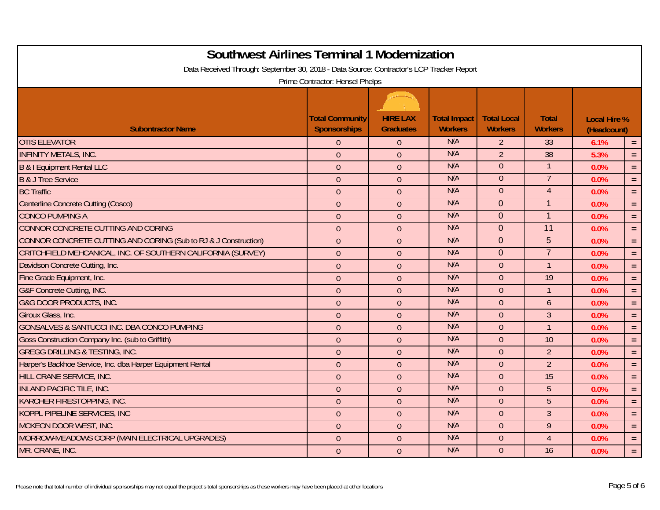| <b>Southwest Airlines Terminal 1 Modernization</b>                                       |                                               |                                     |                                       |                                      |                                |                                    |            |  |  |
|------------------------------------------------------------------------------------------|-----------------------------------------------|-------------------------------------|---------------------------------------|--------------------------------------|--------------------------------|------------------------------------|------------|--|--|
| Data Received Through: September 30, 2018 - Data Source: Contractor's LCP Tracker Report |                                               |                                     |                                       |                                      |                                |                                    |            |  |  |
| Prime Contractor: Hensel Phelps                                                          |                                               |                                     |                                       |                                      |                                |                                    |            |  |  |
|                                                                                          |                                               |                                     |                                       |                                      |                                |                                    |            |  |  |
| <b>Subontractor Name</b>                                                                 | <b>Total Community</b><br><b>Sponsorships</b> | <b>HIRE LAX</b><br><b>Graduates</b> | <b>Total Impact</b><br><b>Workers</b> | <b>Total Local</b><br><b>Workers</b> | <b>Total</b><br><b>Workers</b> | <b>Local Hire %</b><br>(Headcount) |            |  |  |
| <b>OTIS ELEVATOR</b>                                                                     | $\Omega$                                      | $\Omega$                            | N/A                                   | $\overline{2}$                       | 33                             | 6.1%                               | $\equiv$   |  |  |
| <b>INFINITY METALS, INC.</b>                                                             | $\mathbf{0}$                                  | $\theta$                            | N/A                                   | $\overline{2}$                       | 38                             | 5.3%                               | $\equiv$   |  |  |
| <b>B &amp; I Equipment Rental LLC</b>                                                    | $\mathbf{0}$                                  | $\overline{0}$                      | N/A                                   | $\theta$                             |                                | 0.0%                               | $\equiv$   |  |  |
| <b>B &amp; J Tree Service</b>                                                            | $\mathbf{0}$                                  | $\overline{0}$                      | N/A                                   | $\overline{0}$                       | $\overline{7}$                 | 0.0%                               | $\equiv$   |  |  |
| <b>BC Traffic</b>                                                                        | $\mathbf{0}$                                  | $\overline{0}$                      | N/A                                   | $\overline{0}$                       | $\overline{4}$                 | 0.0%                               | $\equiv$   |  |  |
| Centerline Concrete Cutting (Cosco)                                                      | $\mathbf{0}$                                  | $\overline{0}$                      | N/A                                   | $\Omega$                             | $\mathbf{1}$                   | 0.0%                               | $\equiv$   |  |  |
| <b>CONCO PUMPING A</b>                                                                   | $\mathbf{0}$                                  | $\overline{0}$                      | N/A                                   | $\overline{0}$                       | $\mathbf{1}$                   | 0.0%                               | $=$        |  |  |
| CONNOR CONCRETE CUTTING AND CORING                                                       | $\mathbf{0}$                                  | $\theta$                            | N/A                                   | $\overline{0}$                       | 11                             | 0.0%                               | $\equiv$   |  |  |
| CONNOR CONCRETE CUTTING AND CORING (Sub to RJ & J Construction)                          | $\mathbf{0}$                                  | $\overline{0}$                      | N/A                                   | $\Omega$                             | 5                              | 0.0%                               | $=$ .      |  |  |
| CRITCHFIELD MEHCANICAL, INC. OF SOUTHERN CALIFORNIA (SURVEY)                             | $\mathbf{0}$                                  | $\overline{0}$                      | N/A                                   | $\Omega$                             | $\overline{7}$                 | 0.0%                               | $=$ .      |  |  |
| Davidson Concrete Cutting, Inc.                                                          | $\boldsymbol{0}$                              | $\overline{0}$                      | N/A                                   | $\Omega$                             | $\overline{1}$                 | 0.0%                               | $=$ $\,$   |  |  |
| Fine Grade Equipment, Inc.                                                               | $\boldsymbol{0}$                              | $\overline{0}$                      | N/A                                   | $\overline{0}$                       | 19                             | 0.0%                               | $\equiv$   |  |  |
| G&F Concrete Cutting, INC.                                                               | $\mathbf{0}$                                  | $\overline{0}$                      | N/A                                   | $\Omega$                             | $\overline{1}$                 | 0.0%                               | $\equiv$   |  |  |
| <b>G&amp;G DOOR PRODUCTS, INC.</b>                                                       | $\overline{0}$                                | $\overline{0}$                      | N/A                                   | $\overline{0}$                       | $\mathfrak b$                  | 0.0%                               | $\equiv$   |  |  |
| Giroux Glass, Inc.                                                                       | $\mathbf{0}$                                  | $\overline{0}$                      | N/A                                   | $\Omega$                             | $\overline{3}$                 | 0.0%                               | $\equiv$   |  |  |
| <b>GONSALVES &amp; SANTUCCI INC. DBA CONCO PUMPING</b>                                   | $\mathbf{0}$                                  | $\theta$                            | N/A                                   | $\overline{0}$                       | $\overline{1}$                 | 0.0%                               | $\equiv$   |  |  |
| Goss Construction Company Inc. (sub to Griffith)                                         | $\mathbf{0}$                                  | $\theta$                            | N/A                                   | $\Omega$                             | 10                             | 0.0%                               | $\equiv$   |  |  |
| <b>GREGG DRILLING &amp; TESTING, INC.</b>                                                | $\theta$                                      | $\theta$                            | N/A                                   | $\overline{0}$                       | $\overline{2}$                 | 0.0%                               | $=$ .      |  |  |
| Harper's Backhoe Service, Inc. dba Harper Equipment Rental                               | $\mathbf{0}$                                  | $\overline{0}$                      | N/A                                   | $\Omega$                             | $\overline{2}$                 | 0.0%                               | $\equiv$   |  |  |
| HILL CRANE SERVICE, INC.                                                                 | $\boldsymbol{0}$                              | $\overline{0}$                      | N/A                                   | $\overline{0}$                       | $\overline{15}$                | 0.0%                               | $=$ .      |  |  |
| <b>INLAND PACIFIC TILE, INC.</b>                                                         | $\boldsymbol{0}$                              | $\overline{0}$                      | N/A                                   | $\Omega$                             | 5                              | 0.0%                               | $\equiv$ . |  |  |
| <b>KARCHER FIRESTOPPING, INC.</b>                                                        | $\mathbf{0}$                                  | $\overline{0}$                      | N/A                                   | $\Omega$                             | 5                              | 0.0%                               | $\equiv$   |  |  |
| KOPPL PIPELINE SERVICES, INC                                                             | $\mathbf{0}$                                  | $\overline{0}$                      | N/A                                   | $\Omega$                             | $\overline{3}$                 | 0.0%                               | $=$ .      |  |  |
| <b>MCKEON DOOR WEST, INC.</b>                                                            | $\mathbf{0}$                                  | $\theta$                            | N/A                                   | $\Omega$                             | $\mathbf{9}$                   | 0.0%                               | $=$        |  |  |
| MORROW-MEADOWS CORP (MAIN ELECTRICAL UPGRADES)                                           | $\theta$                                      | $\theta$                            | N/A                                   | $\overline{0}$                       | $\overline{4}$                 | 0.0%                               | $\equiv$   |  |  |
| MR. CRANE, INC.                                                                          | $\overline{0}$                                | $\overline{0}$                      | N/A                                   | $\Omega$                             | 16                             | 0.0%                               | $=$ .      |  |  |